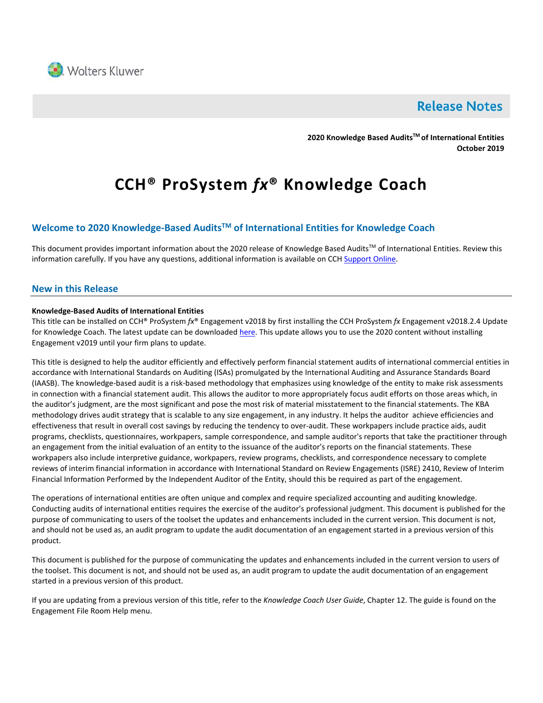

# **Release Notes**

**2020 Knowledge Based AuditsTM of International Entities October 2019**

# **CCH® ProSystem** *fx***® Knowledge Coach**

# **Welcome to 2020 Knowledge-Based AuditsTM of International Entities for Knowledge Coach**

This document provides important information about the 2020 release of Knowledge Based Audits<sup>TM</sup> of International Entities. Review this information carefully. If you have any questions, additional information is available on CCH [Support Online.](http://support.cch.com/productsupport/)

# **New in this Release**

#### **Knowledge-Based Audits of International Entities**

This title can be installed on CCH® ProSystem *fx*® Engagement v2018 by first installing the CCH ProSystem *fx* Engagement v2018.2.4 Update for Knowledge Coach. The latest update can be downloaded [here.](https://support.cch.com/updates/Engagement/release2018/release2018.aspx) This update allows you to use the 2020 content without installing Engagement v2019 until your firm plans to update.

This title is designed to help the auditor efficiently and effectively perform financial statement audits of international commercial entities in accordance with International Standards on Auditing (ISAs) promulgated by the International Auditing and Assurance Standards Board (IAASB). The knowledge-based audit is a risk-based methodology that emphasizes using knowledge of the entity to make risk assessments in connection with a financial statement audit. This allows the auditor to more appropriately focus audit efforts on those areas which, in the auditor's judgment, are the most significant and pose the most risk of material misstatement to the financial statements. The KBA methodology drives audit strategy that is scalable to any size engagement, in any industry. It helps the auditor achieve efficiencies and effectiveness that result in overall cost savings by reducing the tendency to over-audit. These workpapers include practice aids, audit programs, checklists, questionnaires, workpapers, sample correspondence, and sample auditor's reports that take the practitioner through an engagement from the initial evaluation of an entity to the issuance of the auditor's reports on the financial statements. These workpapers also include interpretive guidance, workpapers, review programs, checklists, and correspondence necessary to complete reviews of interim financial information in accordance with International Standard on Review Engagements (ISRE) 2410, Review of Interim Financial Information Performed by the Independent Auditor of the Entity, should this be required as part of the engagement.

The operations of international entities are often unique and complex and require specialized accounting and auditing knowledge. Conducting audits of international entities requires the exercise of the auditor's professional judgment. This document is published for the purpose of communicating to users of the toolset the updates and enhancements included in the current version. This document is not, and should not be used as, an audit program to update the audit documentation of an engagement started in a previous version of this product.

This document is published for the purpose of communicating the updates and enhancements included in the current version to users of the toolset. This document is not, and should not be used as, an audit program to update the audit documentation of an engagement started in a previous version of this product.

If you are updating from a previous version of this title, refer to the *Knowledge Coach User Guide*, Chapter 12. The guide is found on the Engagement File Room Help menu.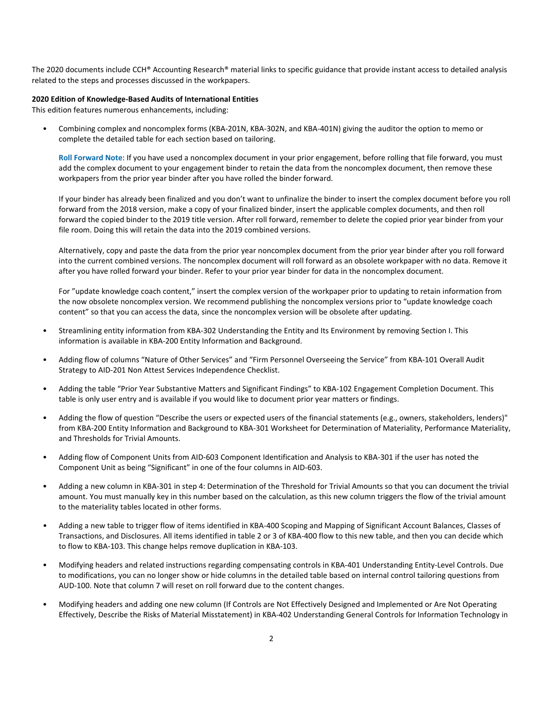The 2020 documents include CCH® Accounting Research® material links to specific guidance that provide instant access to detailed analysis related to the steps and processes discussed in the workpapers.

#### **2020 Edition of Knowledge-Based Audits of International Entities**

This edition features numerous enhancements, including:

• Combining complex and noncomplex forms (KBA-201N, KBA-302N, and KBA-401N) giving the auditor the option to memo or complete the detailed table for each section based on tailoring.

**Roll Forward Note**: If you have used a noncomplex document in your prior engagement, before rolling that file forward, you must add the complex document to your engagement binder to retain the data from the noncomplex document, then remove these workpapers from the prior year binder after you have rolled the binder forward.

If your binder has already been finalized and you don't want to unfinalize the binder to insert the complex document before you roll forward from the 2018 version, make a copy of your finalized binder, insert the applicable complex documents, and then roll forward the copied binder to the 2019 title version. After roll forward, remember to delete the copied prior year binder from your file room. Doing this will retain the data into the 2019 combined versions.

Alternatively, copy and paste the data from the prior year noncomplex document from the prior year binder after you roll forward into the current combined versions. The noncomplex document will roll forward as an obsolete workpaper with no data. Remove it after you have rolled forward your binder. Refer to your prior year binder for data in the noncomplex document.

For "update knowledge coach content," insert the complex version of the workpaper prior to updating to retain information from the now obsolete noncomplex version. We recommend publishing the noncomplex versions prior to "update knowledge coach content" so that you can access the data, since the noncomplex version will be obsolete after updating.

- Streamlining entity information from KBA-302 Understanding the Entity and Its Environment by removing Section I. This information is available in KBA-200 Entity Information and Background.
- Adding flow of columns "Nature of Other Services" and "Firm Personnel Overseeing the Service" from KBA-101 Overall Audit Strategy to AID-201 Non Attest Services Independence Checklist.
- Adding the table "Prior Year Substantive Matters and Significant Findings" to KBA-102 Engagement Completion Document. This table is only user entry and is available if you would like to document prior year matters or findings.
- Adding the flow of question "Describe the users or expected users of the financial statements (e.g., owners, stakeholders, lenders)" from KBA-200 Entity Information and Background to KBA-301 Worksheet for Determination of Materiality, Performance Materiality, and Thresholds for Trivial Amounts.
- Adding flow of Component Units from AID-603 Component Identification and Analysis to KBA-301 if the user has noted the Component Unit as being "Significant" in one of the four columns in AID-603.
- Adding a new column in KBA-301 in step 4: Determination of the Threshold for Trivial Amounts so that you can document the trivial amount. You must manually key in this number based on the calculation, as this new column triggers the flow of the trivial amount to the materiality tables located in other forms.
- Adding a new table to trigger flow of items identified in KBA-400 Scoping and Mapping of Significant Account Balances, Classes of Transactions, and Disclosures. All items identified in table 2 or 3 of KBA-400 flow to this new table, and then you can decide which to flow to KBA-103. This change helps remove duplication in KBA-103.
- Modifying headers and related instructions regarding compensating controls in KBA-401 Understanding Entity-Level Controls. Due to modifications, you can no longer show or hide columns in the detailed table based on internal control tailoring questions from AUD-100. Note that column 7 will reset on roll forward due to the content changes.
- Modifying headers and adding one new column (If Controls are Not Effectively Designed and Implemented or Are Not Operating Effectively, Describe the Risks of Material Misstatement) in KBA-402 Understanding General Controls for Information Technology in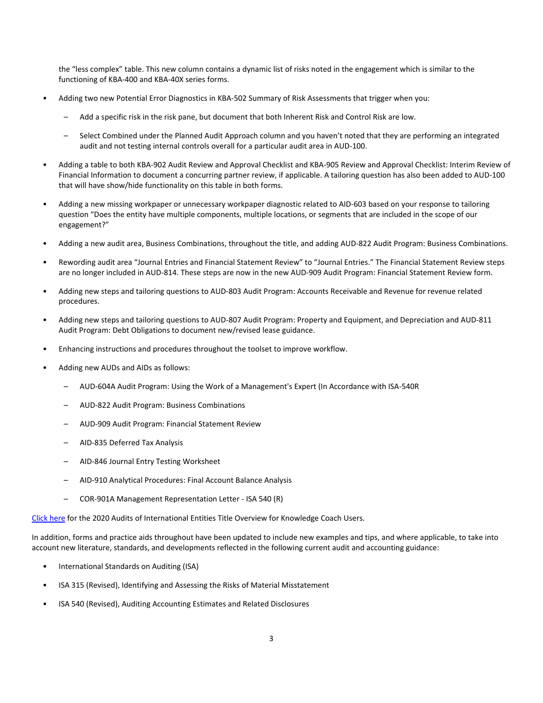the "less complex" table. This new column contains a dynamic list of risks noted in the engagement which is similar to the functioning of KBA-400 and KBA-40X series forms.

- Adding two new Potential Error Diagnostics in KBA-502 Summary of Risk Assessments that trigger when you:
	- Add a specific risk in the risk pane, but document that both Inherent Risk and Control Risk are low.
	- Select Combined under the Planned Audit Approach column and you haven't noted that they are performing an integrated audit and not testing internal controls overall for a particular audit area in AUD-100.
- Adding a table to both KBA-902 Audit Review and Approval Checklist and KBA-905 Review and Approval Checklist: Interim Review of Financial Information to document a concurring partner review, if applicable. A tailoring question has also been added to AUD-100 that will have show/hide functionality on this table in both forms.
- Adding a new missing workpaper or unnecessary workpaper diagnostic related to AID-603 based on your response to tailoring question "Does the entity have multiple components, multiple locations, or segments that are included in the scope of our engagement?"
- Adding a new audit area, Business Combinations, throughout the title, and adding AUD-822 Audit Program: Business Combinations.
- Rewording audit area "Journal Entries and Financial Statement Review" to "Journal Entries." The Financial Statement Review steps are no longer included in AUD-814. These steps are now in the new AUD-909 Audit Program: Financial Statement Review form.
- Adding new steps and tailoring questions to AUD-803 Audit Program: Accounts Receivable and Revenue for revenue related procedures.
- Adding new steps and tailoring questions to AUD-807 Audit Program: Property and Equipment, and Depreciation and AUD-811 Audit Program: Debt Obligations to document new/revised lease guidance.
- Enhancing instructions and procedures throughout the toolset to improve workflow.
- Adding new AUDs and AIDs as follows:
	- AUD-604A Audit Program: Using the Work of a Management's Expert (In Accordance with ISA-540R
	- AUD-822 Audit Program: Business Combinations
	- AUD-909 Audit Program: Financial Statement Review
	- AID-835 Deferred Tax Analysis
	- AID-846 Journal Entry Testing Worksheet
	- AID-910 Analytical Procedures: Final Account Balance Analysis
	- COR-901A Management Representation Letter ISA 540 (R)

[Click here](http://support.cch.com/updates/KnowledgeCoach/pdf/guides_tab/2020%20International%20Entities%20Title%20Overview%20for%20Knowledge%20Coach%20Users.pdf) for the 2020 Audits of International Entities Title Overview for Knowledge Coach Users.

In addition, forms and practice aids throughout have been updated to include new examples and tips, and where applicable, to take into account new literature, standards, and developments reflected in the following current audit and accounting guidance:

- International Standards on Auditing (ISA)
- ISA 315 (Revised), Identifying and Assessing the Risks of Material Misstatement
- ISA 540 (Revised), Auditing Accounting Estimates and Related Disclosures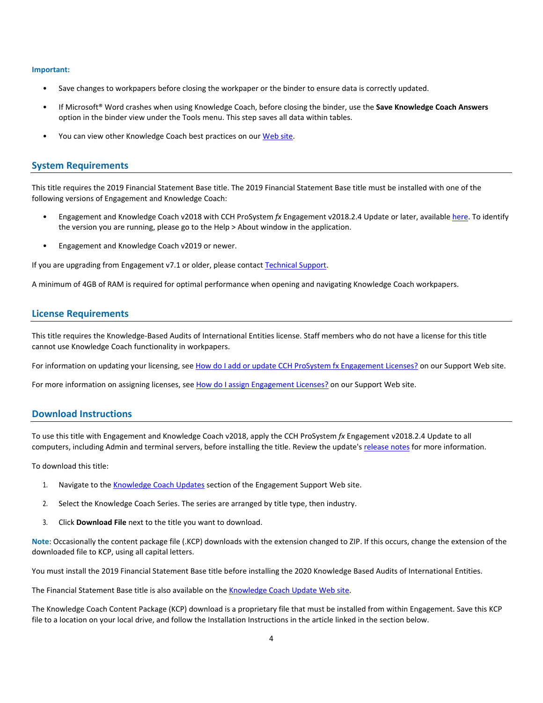#### **Important:**

- Save changes to workpapers before closing the workpaper or the binder to ensure data is correctly updated.
- If Microsoft® Word crashes when using Knowledge Coach, before closing the binder, use the **Save Knowledge Coach Answers** option in the binder view under the Tools menu. This step saves all data within tables.
- You can view other Knowledge Coach best practices on ou[r Web](https://support.cch.com/kb/solution/000034942/sw34947) site.

#### **System Requirements**

This title requires the 2019 Financial Statement Base title. The 2019 Financial Statement Base title must be installed with one of the following versions of Engagement and Knowledge Coach:

- Engagement and Knowledge Coach v2018 with CCH ProSystem *fx* Engagement v2018.2.4 Update or later, available [here.](https://support.cch.com/updates/Engagement/release2018/release2018.aspx) To identify the version you are running, please go to the Help > About window in the application.
- Engagement and Knowledge Coach v2019 or newer.

If you are upgrading from Engagement v7.1 or older, please contact [Technical Support.](https://support.cch.com/contact)

A minimum of 4GB of RAM is required for optimal performance when opening and navigating Knowledge Coach workpapers.

#### **License Requirements**

This title requires the Knowledge-Based Audits of International Entities license. Staff members who do not have a license for this title cannot use Knowledge Coach functionality in workpapers.

For information on updating your licensing, see [How do I add or update CCH ProSystem fx Engagement Licenses?](https://support.cch.com/kb/solution.aspx/sw3937) on our Support Web site.

For more information on assigning licenses, see [How do I assign Engagement Licenses?](https://support.cch.com/kb/solution.aspx/sw3943) on our Support Web site.

## **Download Instructions**

To use this title with Engagement and Knowledge Coach v2018, apply the CCH ProSystem *fx* Engagement v2018.2.4 Update to all computers, including Admin and terminal servers, before installing the title. Review the update's [release notes](https://d2iceilwdglxpz.cloudfront.net/release_notes/CCH%20ProSystem%20fx%20Engagement%202018.2.4%20Release%20Notes.pdf) for more information.

To download this title:

- 1. Navigate to the [Knowledge Coach Updates](http://support.cch.com/updates/KnowledgeCoach) section of the Engagement Support Web site.
- 2. Select the Knowledge Coach Series. The series are arranged by title type, then industry.
- 3. Click **Download File** next to the title you want to download.

**Note**: Occasionally the content package file (.KCP) downloads with the extension changed to ZIP. If this occurs, change the extension of the downloaded file to KCP, using all capital letters.

You must install the 2019 Financial Statement Base title before installing the 2020 Knowledge Based Audits of International Entities.

The Financial Statement Base title is also available on th[e Knowledge Coach Update Web](http://support.cch.com/updates/KnowledgeCoach) site.

The Knowledge Coach Content Package (KCP) download is a proprietary file that must be installed from within Engagement. Save this KCP file to a location on your local drive, and follow the Installation Instructions in the article linked in the section below.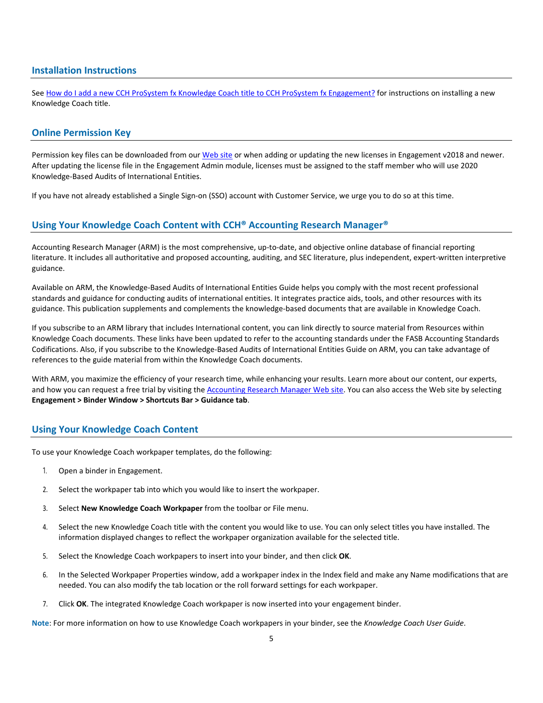# **Installation Instructions**

See [How do I add a new CCH ProSystem fx Knowledge Coach title to CCH ProSystem fx Engagement?](https://support.cch.com/kb/solution/000033707/sw30271) for instructions on installing a new Knowledge Coach title.

# **Online Permission Key**

Permission key files can be downloaded from our [Web](https://prosystemfxsupport.tax.cchgroup.com/permkey/download.aspx) site or when adding or updating the new licenses in Engagement v2018 and newer. After updating the license file in the Engagement Admin module, licenses must be assigned to the staff member who will use 2020 Knowledge-Based Audits of International Entities.

If you have not already established a Single Sign-on (SSO) account with Customer Service, we urge you to do so at this time.

# **Using Your Knowledge Coach Content with CCH® Accounting Research Manager®**

Accounting Research Manager (ARM) is the most comprehensive, up-to-date, and objective online database of financial reporting literature. It includes all authoritative and proposed accounting, auditing, and SEC literature, plus independent, expert-written interpretive guidance.

Available on ARM, the Knowledge-Based Audits of International Entities Guide helps you comply with the most recent professional standards and guidance for conducting audits of international entities. It integrates practice aids, tools, and other resources with its guidance. This publication supplements and complements the knowledge-based documents that are available in Knowledge Coach.

If you subscribe to an ARM library that includes International content, you can link directly to source material from Resources within Knowledge Coach documents. These links have been updated to refer to the accounting standards under the FASB Accounting Standards Codifications. Also, if you subscribe to the Knowledge-Based Audits of International Entities Guide on ARM, you can take advantage of references to the guide material from within the Knowledge Coach documents.

With ARM, you maximize the efficiency of your research time, while enhancing your results. Learn more about our content, our experts, and how you can request a free trial by visiting th[e Accounting Research Manager Web](http://www.accountingresearchmanager.com/) site. You can also access the Web site by selecting **Engagement > Binder Window > Shortcuts Bar > Guidance tab**.

# **Using Your Knowledge Coach Content**

To use your Knowledge Coach workpaper templates, do the following:

- 1. Open a binder in Engagement.
- 2. Select the workpaper tab into which you would like to insert the workpaper.
- 3. Select **New Knowledge Coach Workpaper** from the toolbar or File menu.
- 4. Select the new Knowledge Coach title with the content you would like to use. You can only select titles you have installed. The information displayed changes to reflect the workpaper organization available for the selected title.
- 5. Select the Knowledge Coach workpapers to insert into your binder, and then click **OK**.
- 6. In the Selected Workpaper Properties window, add a workpaper index in the Index field and make any Name modifications that are needed. You can also modify the tab location or the roll forward settings for each workpaper.
- 7. Click **OK**. The integrated Knowledge Coach workpaper is now inserted into your engagement binder.

**Note**: For more information on how to use Knowledge Coach workpapers in your binder, see the *Knowledge Coach User Guide*.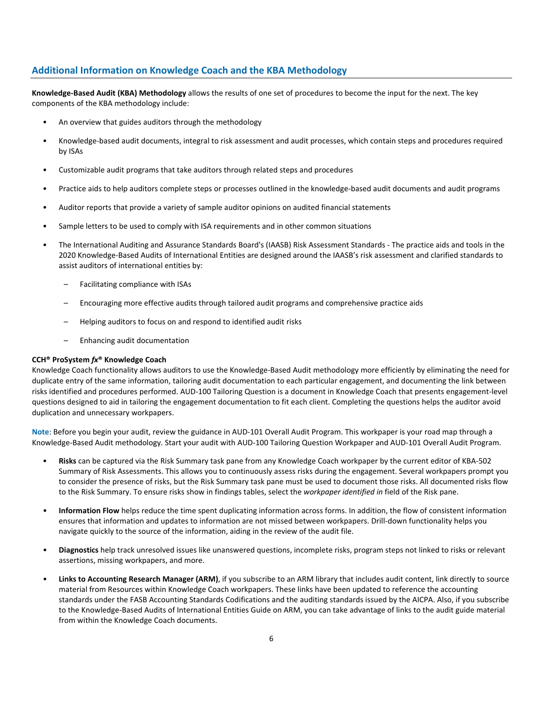# **Additional Information on Knowledge Coach and the KBA Methodology**

**Knowledge-Based Audit (KBA) Methodology** allows the results of one set of procedures to become the input for the next. The key components of the KBA methodology include:

- An overview that guides auditors through the methodology
- Knowledge-based audit documents, integral to risk assessment and audit processes, which contain steps and procedures required by ISAs
- Customizable audit programs that take auditors through related steps and procedures
- Practice aids to help auditors complete steps or processes outlined in the knowledge-based audit documents and audit programs
- Auditor reports that provide a variety of sample auditor opinions on audited financial statements
- Sample letters to be used to comply with ISA requirements and in other common situations
- The International Auditing and Assurance Standards Board's (IAASB) Risk Assessment Standards The practice aids and tools in the 2020 Knowledge-Based Audits of International Entities are designed around the IAASB's risk assessment and clarified standards to assist auditors of international entities by:
	- Facilitating compliance with ISAs
	- Encouraging more effective audits through tailored audit programs and comprehensive practice aids
	- Helping auditors to focus on and respond to identified audit risks
	- Enhancing audit documentation

## **CCH® ProSystem** *fx***® Knowledge Coach**

Knowledge Coach functionality allows auditors to use the Knowledge-Based Audit methodology more efficiently by eliminating the need for duplicate entry of the same information, tailoring audit documentation to each particular engagement, and documenting the link between risks identified and procedures performed. AUD-100 Tailoring Question is a document in Knowledge Coach that presents engagement-level questions designed to aid in tailoring the engagement documentation to fit each client. Completing the questions helps the auditor avoid duplication and unnecessary workpapers.

**Note**: Before you begin your audit, review the guidance in AUD-101 Overall Audit Program. This workpaper is your road map through a Knowledge-Based Audit methodology. Start your audit with AUD-100 Tailoring Question Workpaper and AUD-101 Overall Audit Program.

- **Risks** can be captured via the Risk Summary task pane from any Knowledge Coach workpaper by the current editor of KBA-502 Summary of Risk Assessments. This allows you to continuously assess risks during the engagement. Several workpapers prompt you to consider the presence of risks, but the Risk Summary task pane must be used to document those risks. All documented risks flow to the Risk Summary. To ensure risks show in findings tables, select the *workpaper identified in* field of the Risk pane.
- **Information Flow** helps reduce the time spent duplicating information across forms. In addition, the flow of consistent information ensures that information and updates to information are not missed between workpapers. Drill-down functionality helps you navigate quickly to the source of the information, aiding in the review of the audit file.
- **Diagnostics** help track unresolved issues like unanswered questions, incomplete risks, program steps not linked to risks or relevant assertions, missing workpapers, and more.
- Links to Accounting Research Manager (ARM), if you subscribe to an ARM library that includes audit content, link directly to source material from Resources within Knowledge Coach workpapers. These links have been updated to reference the accounting standards under the FASB Accounting Standards Codifications and the auditing standards issued by the AICPA. Also, if you subscribe to the Knowledge-Based Audits of International Entities Guide on ARM, you can take advantage of links to the audit guide material from within the Knowledge Coach documents.